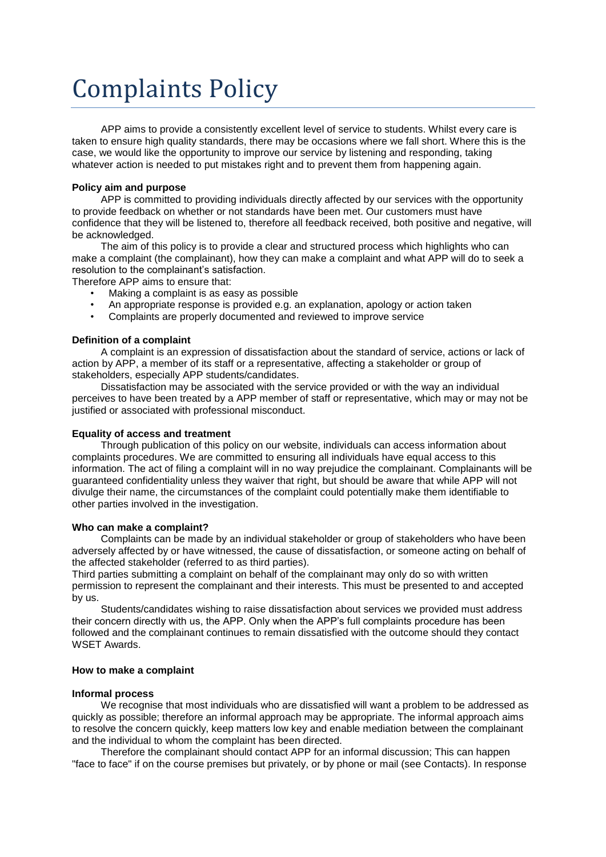# Complaints Policy

APP aims to provide a consistently excellent level of service to students. Whilst every care is taken to ensure high quality standards, there may be occasions where we fall short. Where this is the case, we would like the opportunity to improve our service by listening and responding, taking whatever action is needed to put mistakes right and to prevent them from happening again.

# **Policy aim and purpose**

APP is committed to providing individuals directly affected by our services with the opportunity to provide feedback on whether or not standards have been met. Our customers must have confidence that they will be listened to, therefore all feedback received, both positive and negative, will be acknowledged.

The aim of this policy is to provide a clear and structured process which highlights who can make a complaint (the complainant), how they can make a complaint and what APP will do to seek a resolution to the complainant's satisfaction.

Therefore APP aims to ensure that:

- Making a complaint is as easy as possible
- An appropriate response is provided e.g. an explanation, apology or action taken
- Complaints are properly documented and reviewed to improve service

#### **Definition of a complaint**

A complaint is an expression of dissatisfaction about the standard of service, actions or lack of action by APP, a member of its staff or a representative, affecting a stakeholder or group of stakeholders, especially APP students/candidates.

Dissatisfaction may be associated with the service provided or with the way an individual perceives to have been treated by a APP member of staff or representative, which may or may not be justified or associated with professional misconduct.

## **Equality of access and treatment**

Through publication of this policy on our website, individuals can access information about complaints procedures. We are committed to ensuring all individuals have equal access to this information. The act of filing a complaint will in no way prejudice the complainant. Complainants will be guaranteed confidentiality unless they waiver that right, but should be aware that while APP will not divulge their name, the circumstances of the complaint could potentially make them identifiable to other parties involved in the investigation.

## **Who can make a complaint?**

Complaints can be made by an individual stakeholder or group of stakeholders who have been adversely affected by or have witnessed, the cause of dissatisfaction, or someone acting on behalf of the affected stakeholder (referred to as third parties).

Third parties submitting a complaint on behalf of the complainant may only do so with written permission to represent the complainant and their interests. This must be presented to and accepted by us.

Students/candidates wishing to raise dissatisfaction about services we provided must address their concern directly with us, the APP. Only when the APP's full complaints procedure has been followed and the complainant continues to remain dissatisfied with the outcome should they contact WSET Awards.

## **How to make a complaint**

#### **Informal process**

We recognise that most individuals who are dissatisfied will want a problem to be addressed as quickly as possible; therefore an informal approach may be appropriate. The informal approach aims to resolve the concern quickly, keep matters low key and enable mediation between the complainant and the individual to whom the complaint has been directed.

Therefore the complainant should contact APP for an informal discussion; This can happen "face to face" if on the course premises but privately, or by phone or mail (see Contacts). In response